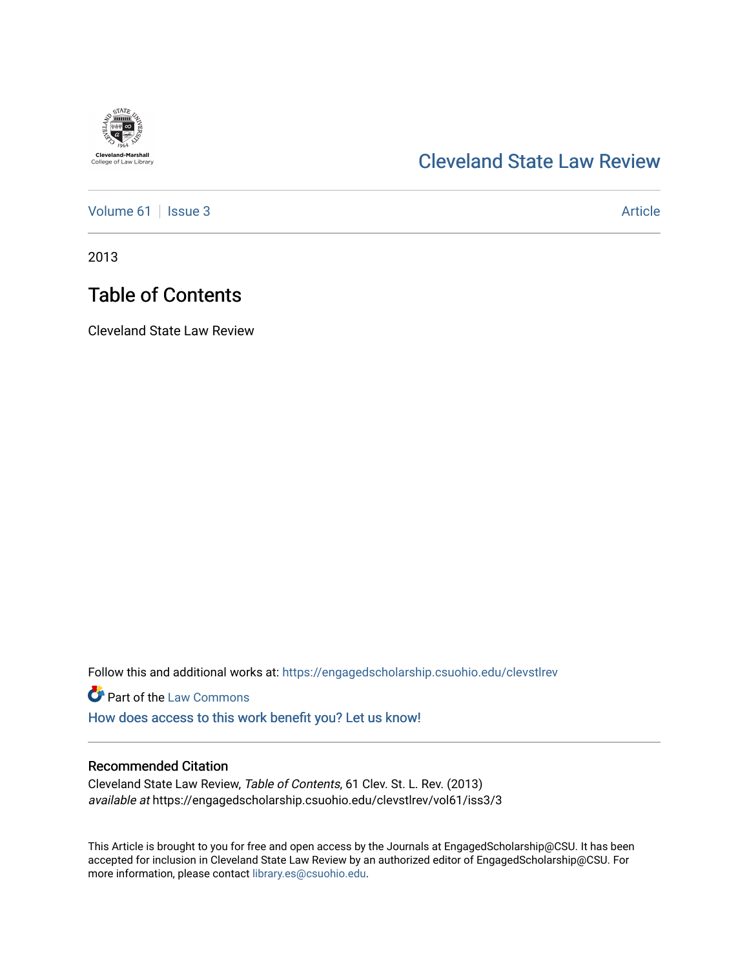

### [Cleveland State Law Review](https://engagedscholarship.csuohio.edu/clevstlrev)

[Volume 61](https://engagedscholarship.csuohio.edu/clevstlrev/vol61) | [Issue 3](https://engagedscholarship.csuohio.edu/clevstlrev/vol61/iss3) Article

2013

## Table of Contents

Cleveland State Law Review

Follow this and additional works at: [https://engagedscholarship.csuohio.edu/clevstlrev](https://engagedscholarship.csuohio.edu/clevstlrev?utm_source=engagedscholarship.csuohio.edu%2Fclevstlrev%2Fvol61%2Fiss3%2F3&utm_medium=PDF&utm_campaign=PDFCoverPages)

**Part of the [Law Commons](http://network.bepress.com/hgg/discipline/578?utm_source=engagedscholarship.csuohio.edu%2Fclevstlrev%2Fvol61%2Fiss3%2F3&utm_medium=PDF&utm_campaign=PDFCoverPages)** 

[How does access to this work benefit you? Let us know!](http://library.csuohio.edu/engaged/)

### Recommended Citation

Cleveland State Law Review, Table of Contents, 61 Clev. St. L. Rev. (2013) available at https://engagedscholarship.csuohio.edu/clevstlrev/vol61/iss3/3

This Article is brought to you for free and open access by the Journals at EngagedScholarship@CSU. It has been accepted for inclusion in Cleveland State Law Review by an authorized editor of EngagedScholarship@CSU. For more information, please contact [library.es@csuohio.edu](mailto:library.es@csuohio.edu).